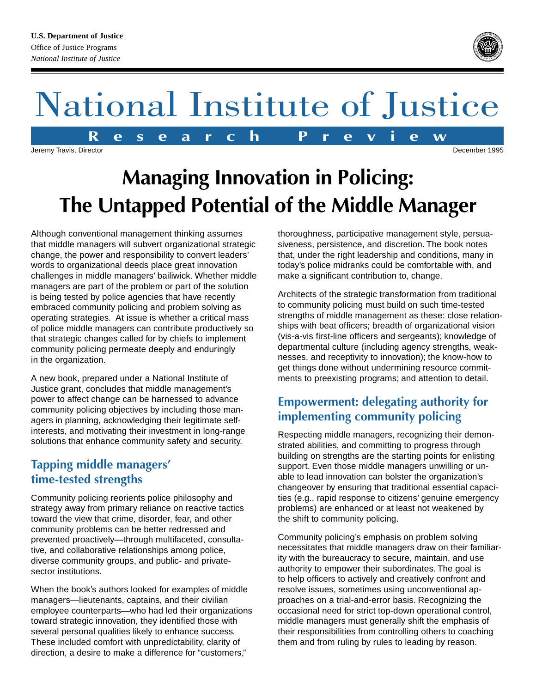# National Institute of Justice

Jeremy Travis, Director December 1995

## **Managing Innovation in Policing: The Untapped Potential of the Middle Manager**

Although conventional management thinking assumes that middle managers will subvert organizational strategic change, the power and responsibility to convert leaders' words to organizational deeds place great innovation challenges in middle managers' bailiwick. Whether middle managers are part of the problem or part of the solution is being tested by police agencies that have recently embraced community policing and problem solving as operating strategies. At issue is whether a critical mass of police middle managers can contribute productively so that strategic changes called for by chiefs to implement community policing permeate deeply and enduringly in the organization.

A new book, prepared under a National Institute of Justice grant, concludes that middle management's power to affect change can be harnessed to advance community policing objectives by including those managers in planning, acknowledging their legitimate selfinterests, and motivating their investment in long-range solutions that enhance community safety and security.

#### **Tapping middle managers' time-tested strengths**

Community policing reorients police philosophy and strategy away from primary reliance on reactive tactics toward the view that crime, disorder, fear, and other community problems can be better redressed and prevented proactively—through multifaceted, consultative, and collaborative relationships among police, diverse community groups, and public- and privatesector institutions.

When the book's authors looked for examples of middle managers—lieutenants, captains, and their civilian employee counterparts—who had led their organizations toward strategic innovation, they identified those with several personal qualities likely to enhance success. These included comfort with unpredictability, clarity of direction, a desire to make a difference for "customers,"

thoroughness, participative management style, persuasiveness, persistence, and discretion. The book notes that, under the right leadership and conditions, many in today's police midranks could be comfortable with, and make a significant contribution to, change.

Architects of the strategic transformation from traditional to community policing must build on such time-tested strengths of middle management as these: close relationships with beat officers; breadth of organizational vision (vis-a-vis first-line officers and sergeants); knowledge of departmental culture (including agency strengths, weaknesses, and receptivity to innovation); the know-how to get things done without undermining resource commitments to preexisting programs; and attention to detail.

### **Empowerment: delegating authority for implementing community policing**

Respecting middle managers, recognizing their demonstrated abilities, and committing to progress through building on strengths are the starting points for enlisting support. Even those middle managers unwilling or unable to lead innovation can bolster the organization's changeover by ensuring that traditional essential capacities (e.g., rapid response to citizens' genuine emergency problems) are enhanced or at least not weakened by the shift to community policing.

Community policing's emphasis on problem solving necessitates that middle managers draw on their familiarity with the bureaucracy to secure, maintain, and use authority to empower their subordinates. The goal is to help officers to actively and creatively confront and resolve issues, sometimes using unconventional approaches on a trial-and-error basis. Recognizing the occasional need for strict top-down operational control, middle managers must generally shift the emphasis of their responsibilities from controlling others to coaching them and from ruling by rules to leading by reason.





**R e s e a r c h P r e v i e w**